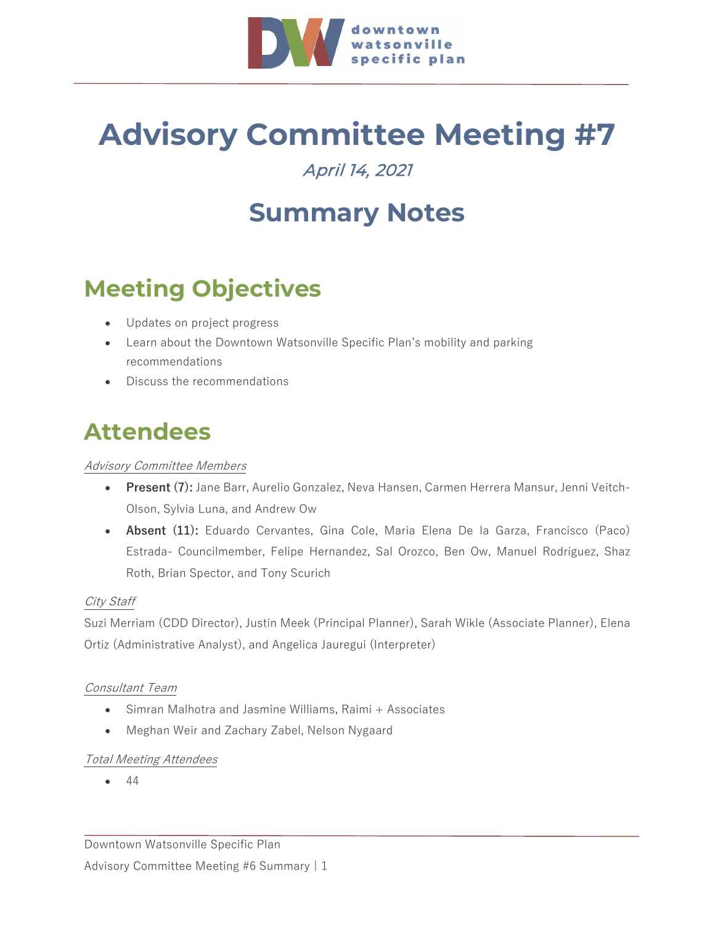

# **Advisory Committee Meeting #7**

### April 14, 2021

## **Summary Notes**

### **Meeting Objectives**

- Updates on project progress
- Learn about the Downtown Watsonville Specific Plan's mobility and parking recommendations
- Discuss the recommendations

### **Attendees**

#### Advisory Committee Members

- **Present (7):** Jane Barr, Aurelio Gonzalez, Neva Hansen, Carmen Herrera Mansur, Jenni Veitch-Olson, Sylvia Luna, and Andrew Ow
- **Absent (11):** Eduardo Cervantes, Gina Cole, Maria Elena De la Garza, Francisco (Paco) Estrada- Councilmember, Felipe Hernandez, Sal Orozco, Ben Ow, Manuel Rodríguez, Shaz Roth, Brian Spector, and Tony Scurich

#### City Staff

Suzi Merriam (CDD Director), Justin Meek (Principal Planner), Sarah Wikle (Associate Planner), Elena Ortiz (Administrative Analyst), and Angelica Jauregui (Interpreter)

#### Consultant Team

- Simran Malhotra and Jasmine Williams, Raimi + Associates
- Meghan Weir and Zachary Zabel, Nelson Nygaard

#### Total Meeting Attendees

• 44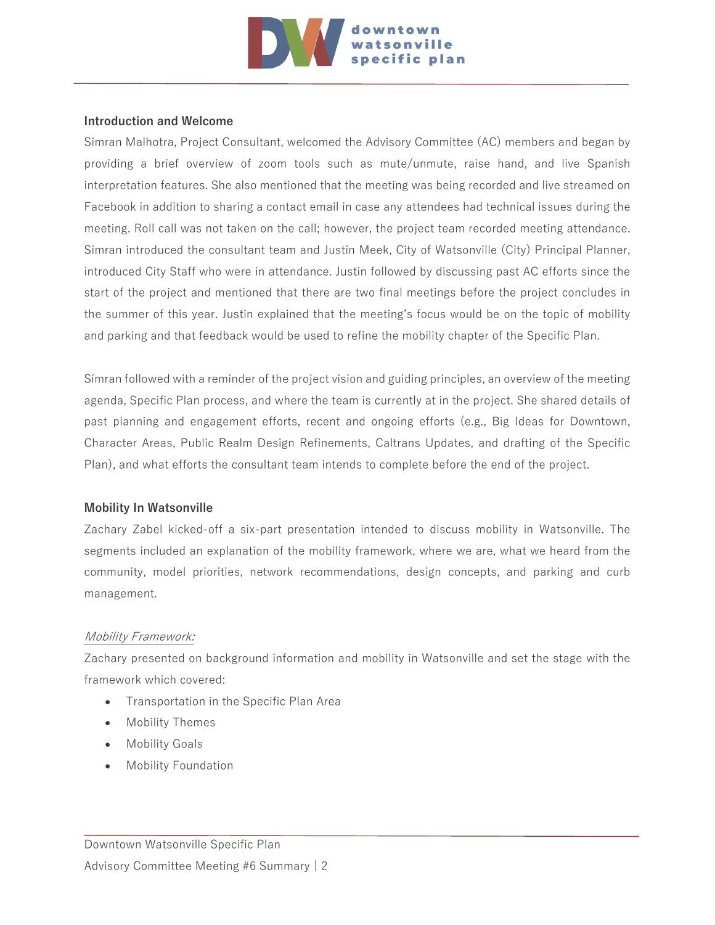

#### **Introduction and Welcome**

Simran Malhotra, Project Consultant, welcomed the Advisory Committee (AC) members and began by providing a brief overview of zoom tools such as mute/unmute, raise hand, and live Spanish interpretation features. She also mentioned that the meeting was being recorded and live streamed on Facebook in addition to sharing a contact email in case any attendees had technical issues during the meeting. Roll call was not taken on the call; however, the project team recorded meeting attendance. Simran introduced the consultant team and Justin Meek, City of Watsonville (City) Principal Planner, introduced City Staff who were in attendance. Justin followed by discussing past AC efforts since the start of the project and mentioned that there are two final meetings before the project concludes in the summer of this year. Justin explained that the meeting's focus would be on the topic of mobility and parking and that feedback would be used to refine the mobility chapter of the Specific Plan.

Simran followed with a reminder of the project vision and guiding principles, an overview of the meeting agenda, Specific Plan process, and where the team is currently at in the project. She shared details of past planning and engagement efforts, recent and ongoing efforts (e.g., Big Ideas for Downtown, Character Areas, Public Realm Design Refinements, Caltrans Updates, and drafting of the Specific Plan), and what efforts the consultant team intends to complete before the end of the project.

#### **Mobility In Watsonville**

Zachary Zabel kicked-off a six-part presentation intended to discuss mobility in Watsonville. The segments included an explanation of the mobility framework, where we are, what we heard from the community, model priorities, network recommendations, design concepts, and parking and curb management.

#### Mobility Framework:

Zachary presented on background information and mobility in Watsonville and set the stage with the framework which covered:

- Transportation in the Specific Plan Area
- Mobility Themes
- Mobility Goals
- Mobility Foundation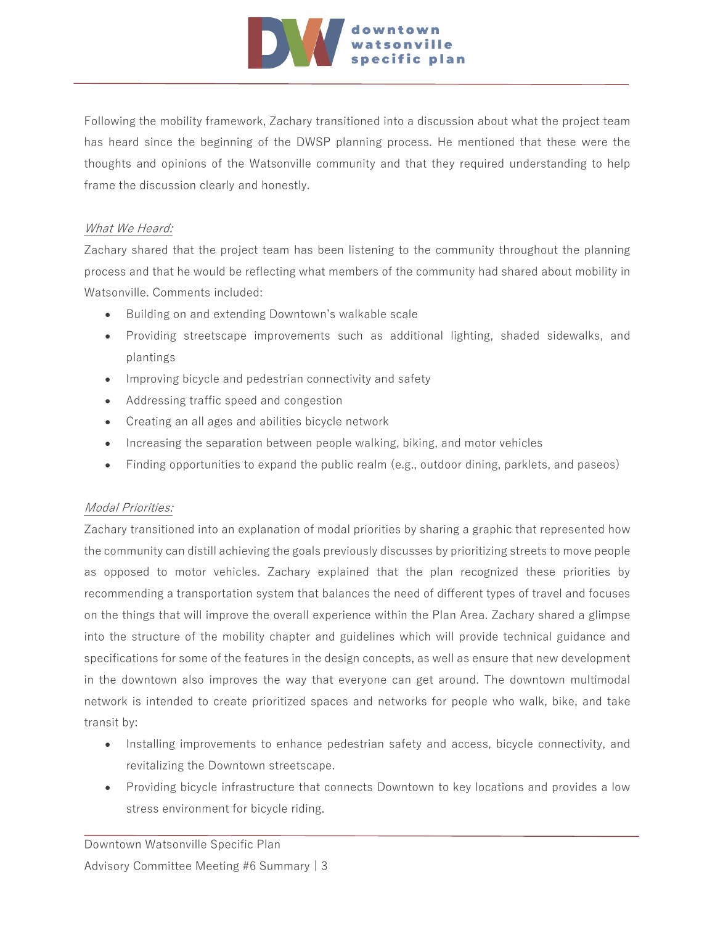

Following the mobility framework, Zachary transitioned into a discussion about what the project team has heard since the beginning of the DWSP planning process. He mentioned that these were the thoughts and opinions of the Watsonville community and that they required understanding to help frame the discussion clearly and honestly.

#### What We Heard:

Zachary shared that the project team has been listening to the community throughout the planning process and that he would be reflecting what members of the community had shared about mobility in Watsonville. Comments included:

- Building on and extending Downtown's walkable scale
- Providing streetscape improvements such as additional lighting, shaded sidewalks, and plantings
- Improving bicycle and pedestrian connectivity and safety
- Addressing traffic speed and congestion
- Creating an all ages and abilities bicycle network
- Increasing the separation between people walking, biking, and motor vehicles
- Finding opportunities to expand the public realm (e.g., outdoor dining, parklets, and paseos)

#### Modal Priorities:

Zachary transitioned into an explanation of modal priorities by sharing a graphic that represented how the community can distill achieving the goals previously discusses by prioritizing streets to move people as opposed to motor vehicles. Zachary explained that the plan recognized these priorities by recommending a transportation system that balances the need of different types of travel and focuses on the things that will improve the overall experience within the Plan Area. Zachary shared a glimpse into the structure of the mobility chapter and guidelines which will provide technical guidance and specifications for some of the features in the design concepts, as well as ensure that new development in the downtown also improves the way that everyone can get around. The downtown multimodal network is intended to create prioritized spaces and networks for people who walk, bike, and take transit by:

- Installing improvements to enhance pedestrian safety and access, bicycle connectivity, and revitalizing the Downtown streetscape.
- Providing bicycle infrastructure that connects Downtown to key locations and provides a low stress environment for bicycle riding.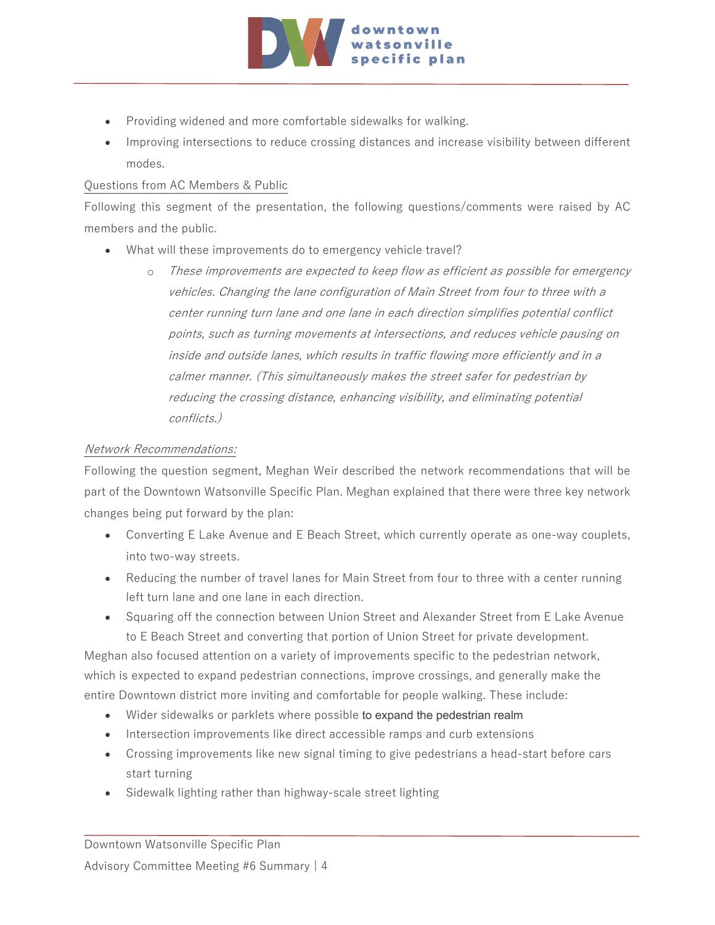

- Providing widened and more comfortable sidewalks for walking.
- Improving intersections to reduce crossing distances and increase visibility between different modes.

#### Questions from AC Members & Public

Following this segment of the presentation, the following questions/comments were raised by AC members and the public.

- What will these improvements do to emergency vehicle travel?
	- o These improvements are expected to keep flow as efficient as possible for emergency vehicles. Changing the lane configuration of Main Street from four to three with a center running turn lane and one lane in each direction simplifies potential conflict points, such as turning movements at intersections, and reduces vehicle pausing on inside and outside lanes, which results in traffic flowing more efficiently and in a calmer manner. (This simultaneously makes the street safer for pedestrian by reducing the crossing distance, enhancing visibility, and eliminating potential conflicts.)

#### Network Recommendations:

Following the question segment, Meghan Weir described the network recommendations that will be part of the Downtown Watsonville Specific Plan. Meghan explained that there were three key network changes being put forward by the plan:

- Converting E Lake Avenue and E Beach Street, which currently operate as one-way couplets, into two-way streets.
- Reducing the number of travel lanes for Main Street from four to three with a center running left turn lane and one lane in each direction.
- Squaring off the connection between Union Street and Alexander Street from E Lake Avenue to E Beach Street and converting that portion of Union Street for private development.

Meghan also focused attention on a variety of improvements specific to the pedestrian network, which is expected to expand pedestrian connections, improve crossings, and generally make the entire Downtown district more inviting and comfortable for people walking. These include:

- Wider sidewalks or parklets where possible to expand the pedestrian realm
- Intersection improvements like direct accessible ramps and curb extensions
- Crossing improvements like new signal timing to give pedestrians a head-start before cars start turning
- Sidewalk lighting rather than highway-scale street lighting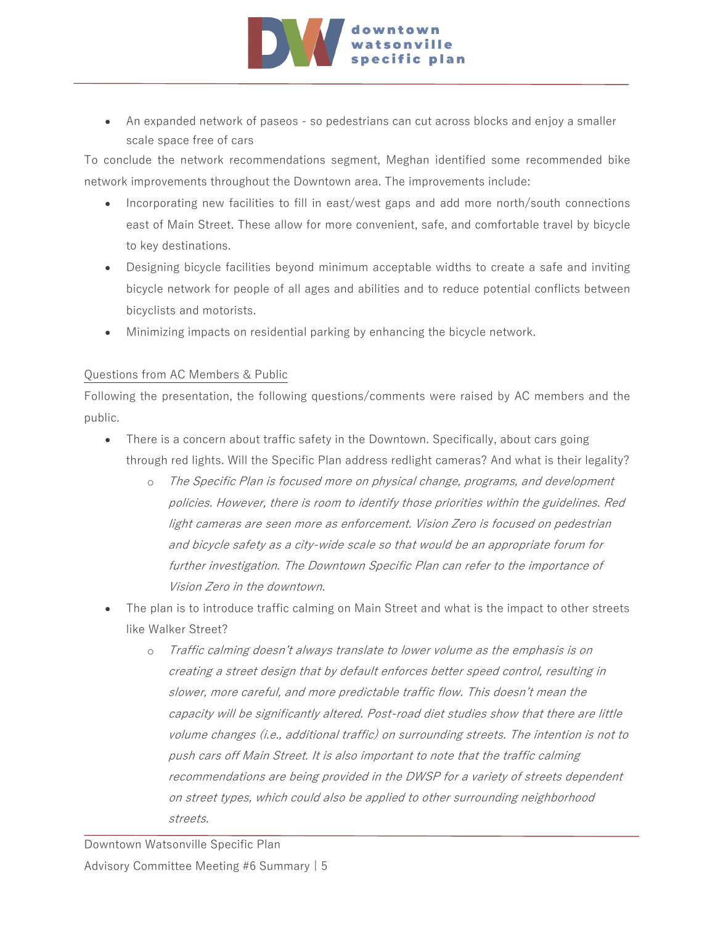

• An expanded network of paseos - so pedestrians can cut across blocks and enjoy a smaller scale space free of cars

To conclude the network recommendations segment, Meghan identified some recommended bike network improvements throughout the Downtown area. The improvements include:

- Incorporating new facilities to fill in east/west gaps and add more north/south connections east of Main Street. These allow for more convenient, safe, and comfortable travel by bicycle to key destinations.
- Designing bicycle facilities beyond minimum acceptable widths to create a safe and inviting bicycle network for people of all ages and abilities and to reduce potential conflicts between bicyclists and motorists.
- Minimizing impacts on residential parking by enhancing the bicycle network.

#### Questions from AC Members & Public

Following the presentation, the following questions/comments were raised by AC members and the public.

- There is a concern about traffic safety in the Downtown. Specifically, about cars going through red lights. Will the Specific Plan address redlight cameras? And what is their legality?
	- o The Specific Plan is focused more on physical change, programs, and development policies. However, there is room to identify those priorities within the guidelines. Red light cameras are seen more as enforcement. Vision Zero is focused on pedestrian and bicycle safety as a city-wide scale so that would be an appropriate forum for further investigation. The Downtown Specific Plan can refer to the importance of Vision Zero in the downtown.
- The plan is to introduce traffic calming on Main Street and what is the impact to other streets like Walker Street?
	- Traffic calming doesn't always translate to lower volume as the emphasis is on creating a street design that by default enforces better speed control, resulting in slower, more careful, and more predictable traffic flow. This doesn't mean the capacity will be significantly altered. Post-road diet studies show that there are little volume changes (i.e., additional traffic) on surrounding streets. The intention is not to push cars off Main Street. It is also important to note that the traffic calming recommendations are being provided in the DWSP for a variety of streets dependent on street types, which could also be applied to other surrounding neighborhood streets.

Downtown Watsonville Specific Plan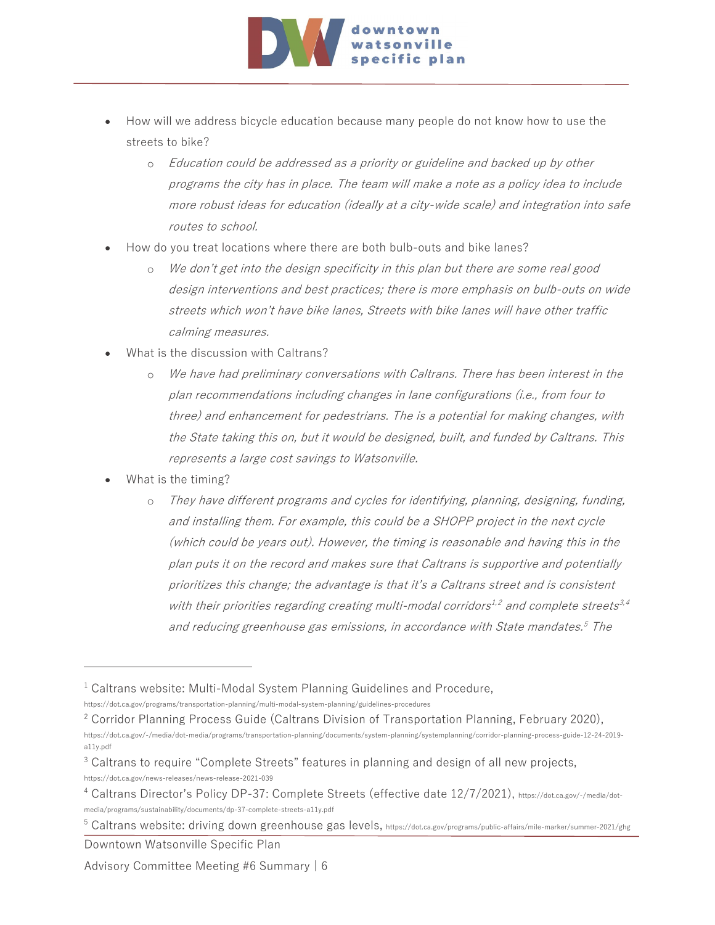

- How will we address bicycle education because many people do not know how to use the streets to bike?
	- o Education could be addressed as a priority or guideline and backed up by other programs the city has in place. The team will make a note as a policy idea to include more robust ideas for education (ideally at a city-wide scale) and integration into safe routes to school.
- How do you treat locations where there are both bulb-outs and bike lanes?
	- We don't get into the design specificity in this plan but there are some real good design interventions and best practices; there is more emphasis on bulb-outs on wide streets which won't have bike lanes, Streets with bike lanes will have other traffic calming measures.
- What is the discussion with Caltrans?
	- o We have had preliminary conversations with Caltrans. There has been interest in the plan recommendations including changes in lane configurations (i.e., from four to three) and enhancement for pedestrians. The is a potential for making changes, with the State taking this on, but it would be designed, built, and funded by Caltrans. This represents a large cost savings to Watsonville.
- What is the timing?
	- o They have different programs and cycles for identifying, planning, designing, funding, and installing them. For example, this could be a SHOPP project in the next cycle (which could be years out). However, the timing is reasonable and having this in the plan puts it on the record and makes sure that Caltrans is supportive and potentially prioritizes this change; the advantage is that it's a Caltrans street and is consistent with their priorities regarding creating multi-modal corridors<sup>1,2</sup> and complete streets<sup>3,4</sup> and reducing greenhouse gas emissions, in accordance with State mandates. [5](#page-5-0) The

https://dot.ca.gov/programs/transportation-planning/multi-modal-system-planning/guidelines-procedures

 $1$  Caltrans website: Multi-Modal System Planning Guidelines and Procedure,

<sup>&</sup>lt;sup>2</sup> Corridor Planning Process Guide (Caltrans Division of Transportation Planning, February 2020),

https://dot.ca.gov/-/media/dot-media/programs/transportation-planning/documents/system-planning/systemplanning/corridor-planning-process-guide-12-24-2019 a11y.pdf

<sup>&</sup>lt;sup>3</sup> Caltrans to require "Complete Streets" features in planning and design of all new projects, https://dot.ca.gov/news-releases/news-release-2021-039

<sup>4</sup> Caltrans Director's Policy DP-37: Complete Streets (effective date 12/7/2021), https://dot.ca.gov/-/media/dotmedia/programs/sustainability/documents/dp-37-complete-streets-a11y.pdf

<span id="page-5-0"></span>Downtown Watsonville Specific Plan <sup>5</sup> Caltrans website: driving down greenhouse gas levels, https://dot.ca.gov/programs/public-affairs/mile-marker/summer-2021/ghg

Advisory Committee Meeting #6 Summary | 6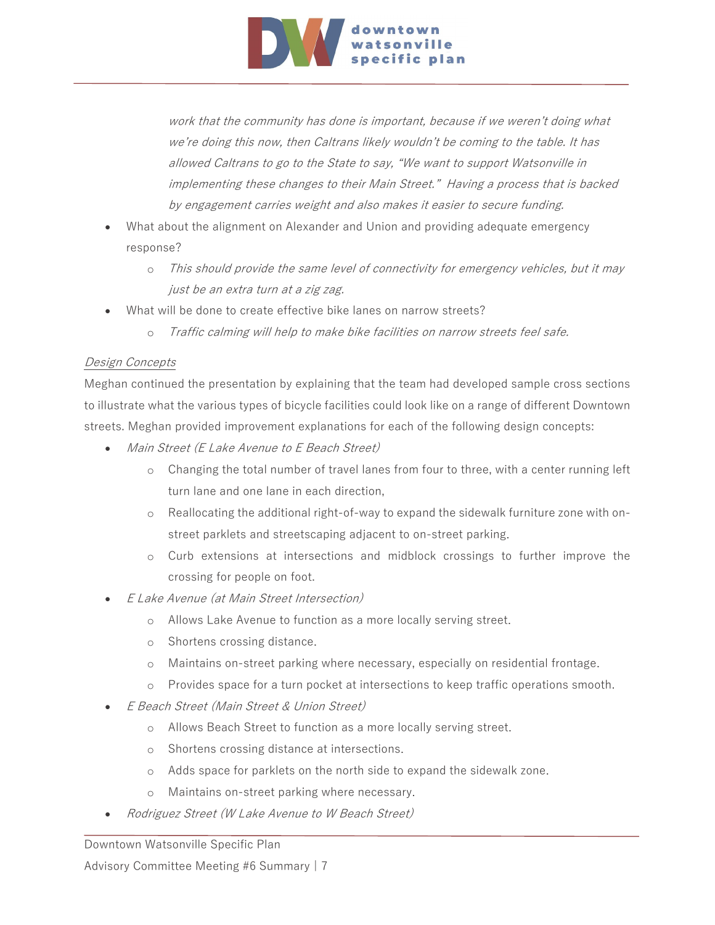

work that the community has done is important, because if we weren't doing what we're doing this now, then Caltrans likely wouldn't be coming to the table. It has allowed Caltrans to go to the State to say, "We want to support Watsonville in implementing these changes to their Main Street." Having a process that is backed by engagement carries weight and also makes it easier to secure funding.

- What about the alignment on Alexander and Union and providing adequate emergency response?
	- o This should provide the same level of connectivity for emergency vehicles, but it may just be an extra turn at a zig zag.
- What will be done to create effective bike lanes on narrow streets?
	- o Traffic calming will help to make bike facilities on narrow streets feel safe.

#### Design Concepts

Meghan continued the presentation by explaining that the team had developed sample cross sections to illustrate what the various types of bicycle facilities could look like on a range of different Downtown streets. Meghan provided improvement explanations for each of the following design concepts:

- Main Street (E Lake Avenue to E Beach Street)
	- o Changing the total number of travel lanes from four to three, with a center running left turn lane and one lane in each direction,
	- o Reallocating the additional right-of-way to expand the sidewalk furniture zone with onstreet parklets and streetscaping adjacent to on-street parking.
	- o Curb extensions at intersections and midblock crossings to further improve the crossing for people on foot.
- E Lake Avenue (at Main Street Intersection)
	- o Allows Lake Avenue to function as a more locally serving street.
	- o Shortens crossing distance.
	- o Maintains on-street parking where necessary, especially on residential frontage.
	- o Provides space for a turn pocket at intersections to keep traffic operations smooth.
- E Beach Street (Main Street & Union Street)
	- o Allows Beach Street to function as a more locally serving street.
	- o Shortens crossing distance at intersections.
	- o Adds space for parklets on the north side to expand the sidewalk zone.
	- o Maintains on-street parking where necessary.
- Rodriguez Street (W Lake Avenue to W Beach Street)

#### Downtown Watsonville Specific Plan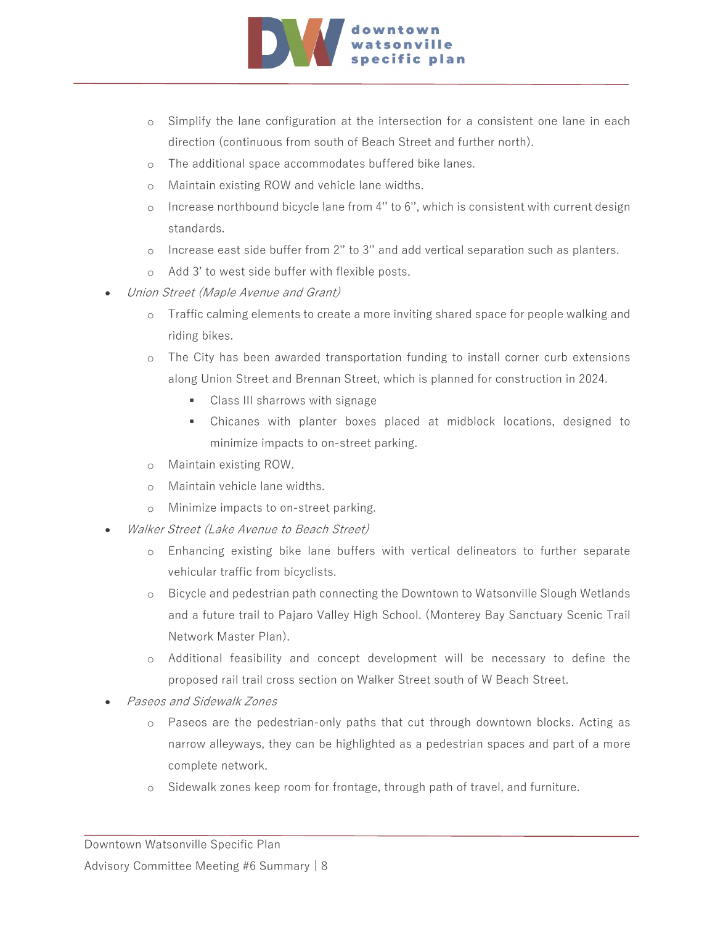

- o Simplify the lane configuration at the intersection for a consistent one lane in each direction (continuous from south of Beach Street and further north).
- o The additional space accommodates buffered bike lanes.
- o Maintain existing ROW and vehicle lane widths.
- o Increase northbound bicycle lane from 4'' to 6'', which is consistent with current design standards.
- o Increase east side buffer from 2'' to 3'' and add vertical separation such as planters.
- o Add 3' to west side buffer with flexible posts.
- Union Street (Maple Avenue and Grant)
	- o Traffic calming elements to create a more inviting shared space for people walking and riding bikes.
	- o The City has been awarded transportation funding to install corner curb extensions along Union Street and Brennan Street, which is planned for construction in 2024.
		- Class III sharrows with signage
		- Chicanes with planter boxes placed at midblock locations, designed to minimize impacts to on-street parking.
	- o Maintain existing ROW.
	- o Maintain vehicle lane widths.
	- o Minimize impacts to on-street parking.
- Walker Street (Lake Avenue to Beach Street)
	- o Enhancing existing bike lane buffers with vertical delineators to further separate vehicular traffic from bicyclists.
	- o Bicycle and pedestrian path connecting the Downtown to Watsonville Slough Wetlands and a future trail to Pajaro Valley High School. (Monterey Bay Sanctuary Scenic Trail Network Master Plan).
	- o Additional feasibility and concept development will be necessary to define the proposed rail trail cross section on Walker Street south of W Beach Street.
- Paseos and Sidewalk Zones
	- o Paseos are the pedestrian-only paths that cut through downtown blocks. Acting as narrow alleyways, they can be highlighted as a pedestrian spaces and part of a more complete network.
	- o Sidewalk zones keep room for frontage, through path of travel, and furniture.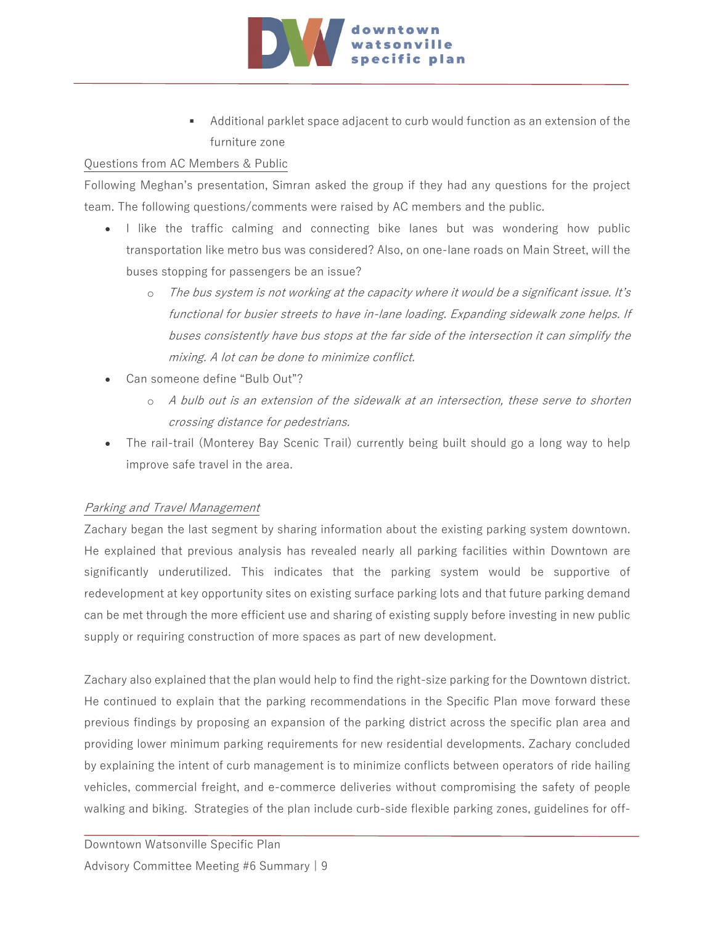

 Additional parklet space adjacent to curb would function as an extension of the furniture zone

#### Questions from AC Members & Public

Following Meghan's presentation, Simran asked the group if they had any questions for the project team. The following questions/comments were raised by AC members and the public.

- I like the traffic calming and connecting bike lanes but was wondering how public transportation like metro bus was considered? Also, on one-lane roads on Main Street, will the buses stopping for passengers be an issue?
	- o The bus system is not working at the capacity where it would be a significant issue. It's functional for busier streets to have in-lane loading. Expanding sidewalk zone helps. If buses consistently have bus stops at the far side of the intersection it can simplify the mixing. A lot can be done to minimize conflict.
- Can someone define "Bulb Out"?
	- o A bulb out is an extension of the sidewalk at an intersection, these serve to shorten crossing distance for pedestrians.
- The rail-trail (Monterey Bay Scenic Trail) currently being built should go a long way to help improve safe travel in the area.

#### Parking and Travel Management

Zachary began the last segment by sharing information about the existing parking system downtown. He explained that previous analysis has revealed nearly all parking facilities within Downtown are significantly underutilized. This indicates that the parking system would be supportive of redevelopment at key opportunity sites on existing surface parking lots and that future parking demand can be met through the more efficient use and sharing of existing supply before investing in new public supply or requiring construction of more spaces as part of new development.

Zachary also explained that the plan would help to find the right-size parking for the Downtown district. He continued to explain that the parking recommendations in the Specific Plan move forward these previous findings by proposing an expansion of the parking district across the specific plan area and providing lower minimum parking requirements for new residential developments. Zachary concluded by explaining the intent of curb management is to minimize conflicts between operators of ride hailing vehicles, commercial freight, and e-commerce deliveries without compromising the safety of people walking and biking. Strategies of the plan include curb-side flexible parking zones, guidelines for off-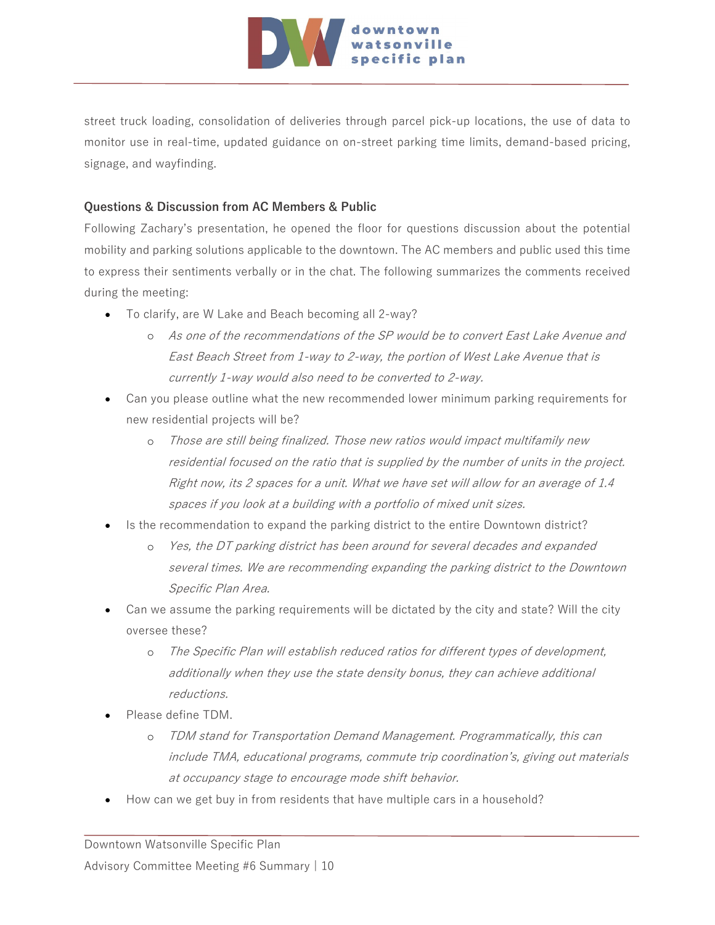

street truck loading, consolidation of deliveries through parcel pick-up locations, the use of data to monitor use in real-time, updated guidance on on-street parking time limits, demand-based pricing, signage, and wayfinding.

#### **Questions & Discussion from AC Members & Public**

Following Zachary's presentation, he opened the floor for questions discussion about the potential mobility and parking solutions applicable to the downtown. The AC members and public used this time to express their sentiments verbally or in the chat. The following summarizes the comments received during the meeting:

- To clarify, are W Lake and Beach becoming all 2-way?
	- o As one of the recommendations of the SP would be to convert East Lake Avenue and East Beach Street from 1-way to 2-way, the portion of West Lake Avenue that is currently 1-way would also need to be converted to 2-way.
- Can you please outline what the new recommended lower minimum parking requirements for new residential projects will be?
	- o Those are still being finalized. Those new ratios would impact multifamily new residential focused on the ratio that is supplied by the number of units in the project. Right now, its 2 spaces for a unit. What we have set will allow for an average of 1.4 spaces if you look at a building with a portfolio of mixed unit sizes.
- Is the recommendation to expand the parking district to the entire Downtown district?
	- o Yes, the DT parking district has been around for several decades and expanded several times. We are recommending expanding the parking district to the Downtown Specific Plan Area.
- Can we assume the parking requirements will be dictated by the city and state? Will the city oversee these?
	- o The Specific Plan will establish reduced ratios for different types of development, additionally when they use the state density bonus, they can achieve additional reductions.
- Please define TDM.
	- TDM stand for Transportation Demand Management. Programmatically, this can include TMA, educational programs, commute trip coordination's, giving out materials at occupancy stage to encourage mode shift behavior.
- How can we get buy in from residents that have multiple cars in a household?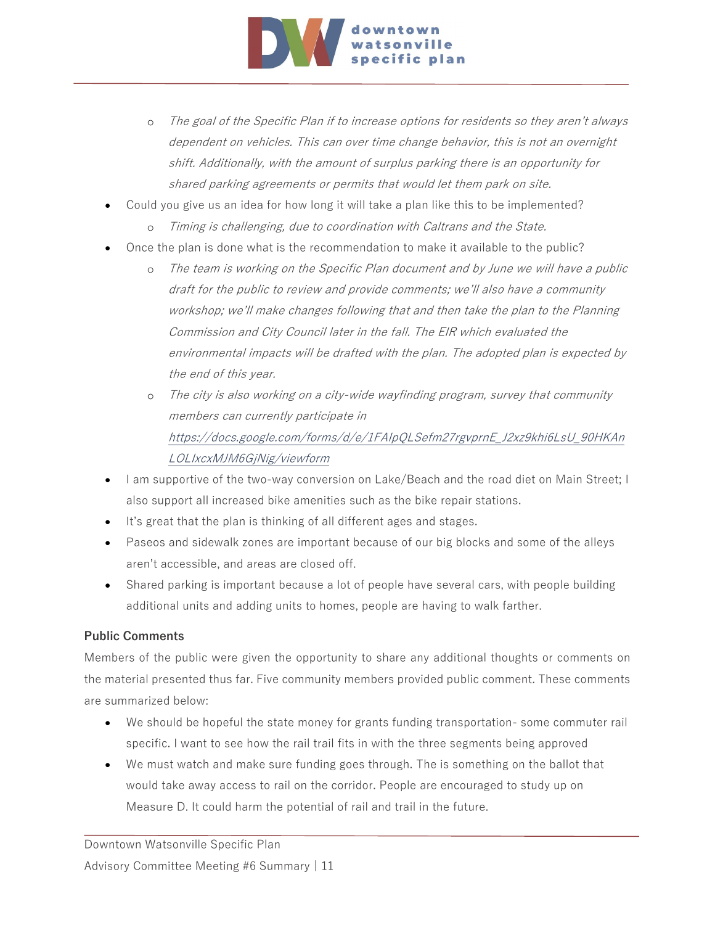

- o The goal of the Specific Plan if to increase options for residents so they aren't always dependent on vehicles. This can over time change behavior, this is not an overnight shift. Additionally, with the amount of surplus parking there is an opportunity for shared parking agreements or permits that would let them park on site.
- Could you give us an idea for how long it will take a plan like this to be implemented?
	- o Timing is challenging, due to coordination with Caltrans and the State.
- Once the plan is done what is the recommendation to make it available to the public?
	- o The team is working on the Specific Plan document and by June we will have a public draft for the public to review and provide comments; we'll also have a community workshop; we'll make changes following that and then take the plan to the Planning Commission and City Council later in the fall. The EIR which evaluated the environmental impacts will be drafted with the plan. The adopted plan is expected by the end of this year.
	- o <sup>T</sup>he city is also working on a city-wide wayfinding program, survey that community members can currently participate in https://docs.google.co[m/forms/d/e/1FAIpQLSefm27rgvprnE\\_J2xz9khi6LsU\\_90HKAn](https://docs.google.com/forms/d/e/1FAIpQLSefm27rgvprnE_J2xz9khi6LsU_90HKAnLOLIxcxMJM6GjNig/viewform) [LOLIxcxMJM6GjNig/viewform](https://docs.google.com/forms/d/e/1FAIpQLSefm27rgvprnE_J2xz9khi6LsU_90HKAnLOLIxcxMJM6GjNig/viewform)
- I am supportive of the two-way conversion on Lake/Beach and the road diet on Main Street; I also support all increased bike amenities such as the bike repair stations.
- It's great that the plan is thinking of all different ages and stages.
- Paseos and sidewalk zones are important because of our big blocks and some of the alleys aren't accessible, and areas are closed off.
- Shared parking is important because a lot of people have several cars, with people building additional units and adding units to homes, people are having to walk farther.

#### **Public Comments**

Members of the public were given the opportunity to share any additional thoughts or comments on the material presented thus far. Five community members provided public comment. These comments are summarized below:

- We should be hopeful the state money for grants funding transportation-some commuter rail specific. I want to see how the rail trail fits in with the three segments being approved
- We must watch and make sure funding goes through. The is something on the ballot that would take away access to rail on the corridor. People are encouraged to study up on Measure D. It could harm the potential of rail and trail in the future.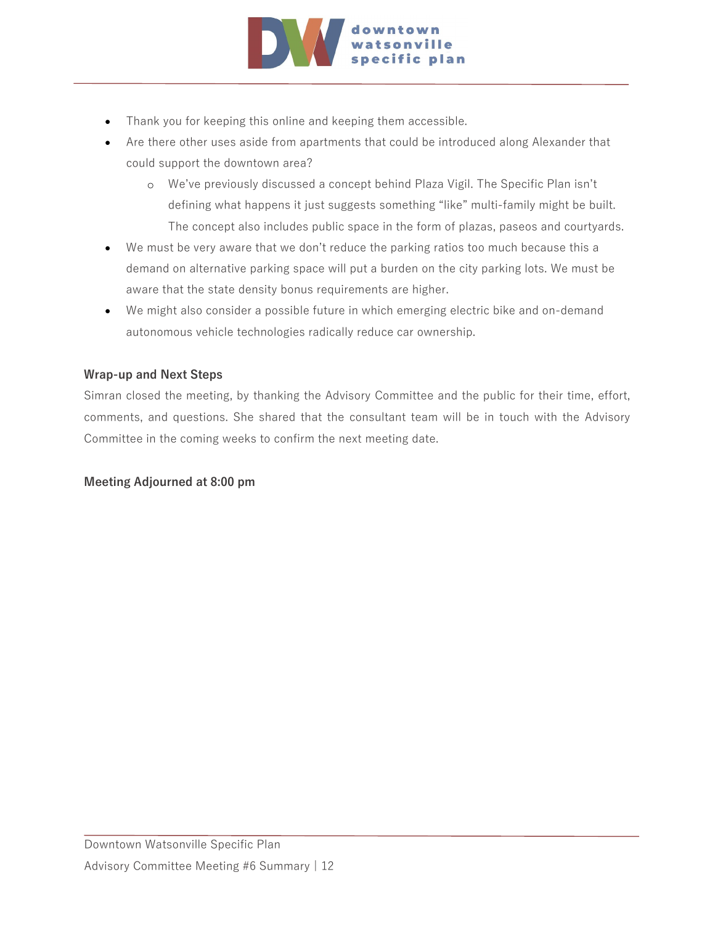

- Thank you for keeping this online and keeping them accessible.
- Are there other uses aside from apartments that could be introduced along Alexander that could support the downtown area?
	- o We've previously discussed a concept behind Plaza Vigil. The Specific Plan isn't defining what happens it just suggests something "like" multi-family might be built. The concept also includes public space in the form of plazas, paseos and courtyards.
- We must be very aware that we don't reduce the parking ratios too much because this a demand on alternative parking space will put a burden on the city parking lots. We must be aware that the state density bonus requirements are higher.
- We might also consider a possible future in which emerging electric bike and on-demand autonomous vehicle technologies radically reduce car ownership.

#### **Wrap-up and Next Steps**

Simran closed the meeting, by thanking the Advisory Committee and the public for their time, effort, comments, and questions. She shared that the consultant team will be in touch with the Advisory Committee in the coming weeks to confirm the next meeting date.

#### **Meeting Adjourned at 8:00 pm**